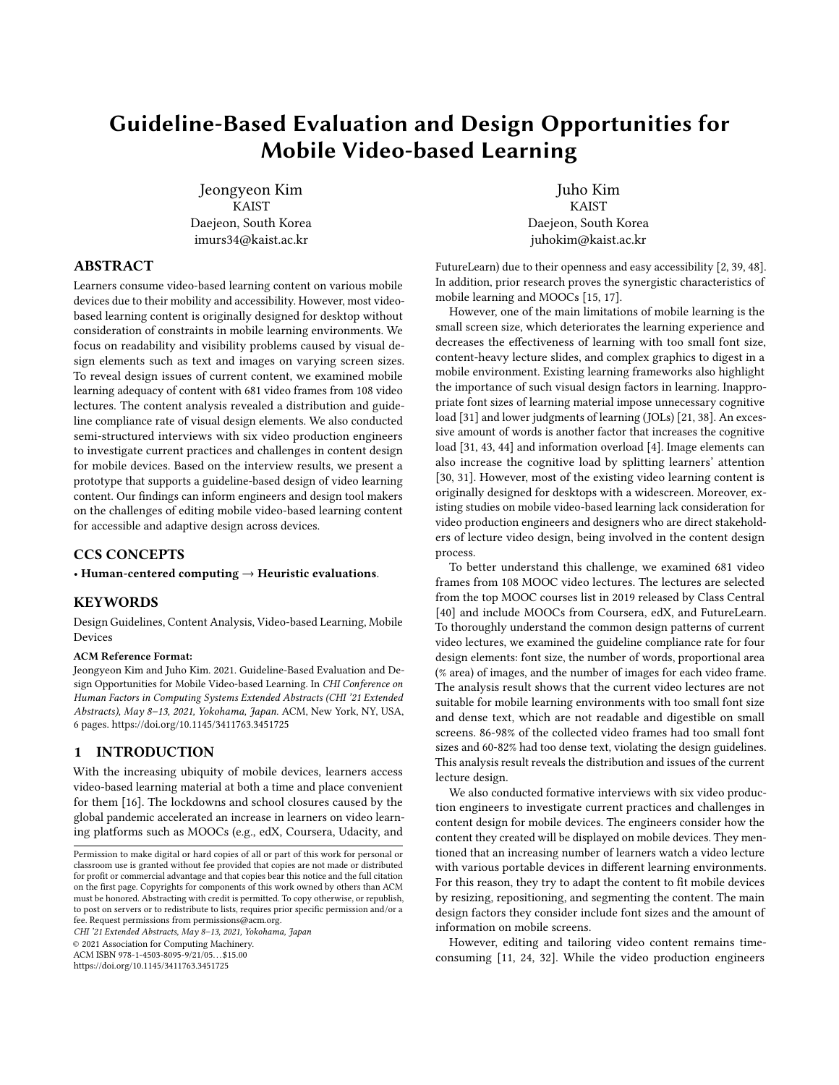# Guideline-Based Evaluation and Design Opportunities for Mobile Video-based Learning

Jeongyeon Kim KAIST Daejeon, South Korea imurs34@kaist.ac.kr

Juho Kim KAIST Daejeon, South Korea juhokim@kaist.ac.kr

## ABSTRACT

Learners consume video-based learning content on various mobile devices due to their mobility and accessibility. However, most videobased learning content is originally designed for desktop without consideration of constraints in mobile learning environments. We focus on readability and visibility problems caused by visual design elements such as text and images on varying screen sizes. To reveal design issues of current content, we examined mobile learning adequacy of content with 681 video frames from 108 video lectures. The content analysis revealed a distribution and guideline compliance rate of visual design elements. We also conducted semi-structured interviews with six video production engineers to investigate current practices and challenges in content design for mobile devices. Based on the interview results, we present a prototype that supports a guideline-based design of video learning content. Our findings can inform engineers and design tool makers on the challenges of editing mobile video-based learning content for accessible and adaptive design across devices.

#### CCS CONCEPTS

• Human-centered computing  $\rightarrow$  Heuristic evaluations.

#### KEYWORDS

Design Guidelines, Content Analysis, Video-based Learning, Mobile Devices

#### ACM Reference Format:

Jeongyeon Kim and Juho Kim. 2021. Guideline-Based Evaluation and Design Opportunities for Mobile Video-based Learning. In CHI Conference on Human Factors in Computing Systems Extended Abstracts (CHI '21 Extended Abstracts), May 8–13, 2021, Yokohama, Japan. ACM, New York, NY, USA, [6](#page-5-0) pages.<https://doi.org/10.1145/3411763.3451725>

### **INTRODUCTION**

With the increasing ubiquity of mobile devices, learners access video-based learning material at both a time and place convenient for them [\[16\]](#page-4-0). The lockdowns and school closures caused by the global pandemic accelerated an increase in learners on video learning platforms such as MOOCs (e.g., edX, Coursera, Udacity, and

CHI '21 Extended Abstracts, May 8–13, 2021, Yokohama, Japan

© 2021 Association for Computing Machinery.

ACM ISBN 978-1-4503-8095-9/21/05. . . \$15.00

<https://doi.org/10.1145/3411763.3451725>

FutureLearn) due to their openness and easy accessibility [\[2,](#page-4-1) [39,](#page-5-1) [48\]](#page-5-2). In addition, prior research proves the synergistic characteristics of mobile learning and MOOCs [\[15,](#page-4-2) [17\]](#page-4-3).

However, one of the main limitations of mobile learning is the small screen size, which deteriorates the learning experience and decreases the effectiveness of learning with too small font size, content-heavy lecture slides, and complex graphics to digest in a mobile environment. Existing learning frameworks also highlight the importance of such visual design factors in learning. Inappropriate font sizes of learning material impose unnecessary cognitive load [\[31\]](#page-5-3) and lower judgments of learning (JOLs) [\[21,](#page-4-4) [38\]](#page-5-4). An excessive amount of words is another factor that increases the cognitive load [\[31,](#page-5-3) [43,](#page-5-5) [44\]](#page-5-6) and information overload [\[4\]](#page-4-5). Image elements can also increase the cognitive load by splitting learners' attention [\[30,](#page-5-7) [31\]](#page-5-3). However, most of the existing video learning content is originally designed for desktops with a widescreen. Moreover, existing studies on mobile video-based learning lack consideration for video production engineers and designers who are direct stakeholders of lecture video design, being involved in the content design process.

To better understand this challenge, we examined 681 video frames from 108 MOOC video lectures. The lectures are selected from the top MOOC courses list in 2019 released by Class Central [\[40\]](#page-5-8) and include MOOCs from Coursera, edX, and FutureLearn. To thoroughly understand the common design patterns of current video lectures, we examined the guideline compliance rate for four design elements: font size, the number of words, proportional area (% area) of images, and the number of images for each video frame. The analysis result shows that the current video lectures are not suitable for mobile learning environments with too small font size and dense text, which are not readable and digestible on small screens. 86-98% of the collected video frames had too small font sizes and 60-82% had too dense text, violating the design guidelines. This analysis result reveals the distribution and issues of the current lecture design.

We also conducted formative interviews with six video production engineers to investigate current practices and challenges in content design for mobile devices. The engineers consider how the content they created will be displayed on mobile devices. They mentioned that an increasing number of learners watch a video lecture with various portable devices in different learning environments. For this reason, they try to adapt the content to fit mobile devices by resizing, repositioning, and segmenting the content. The main design factors they consider include font sizes and the amount of information on mobile screens.

However, editing and tailoring video content remains timeconsuming [\[11,](#page-4-6) [24,](#page-4-7) [32\]](#page-5-9). While the video production engineers

Permission to make digital or hard copies of all or part of this work for personal or classroom use is granted without fee provided that copies are not made or distributed for profit or commercial advantage and that copies bear this notice and the full citation on the first page. Copyrights for components of this work owned by others than ACM must be honored. Abstracting with credit is permitted. To copy otherwise, or republish, to post on servers or to redistribute to lists, requires prior specific permission and/or a fee. Request permissions from permissions@acm.org.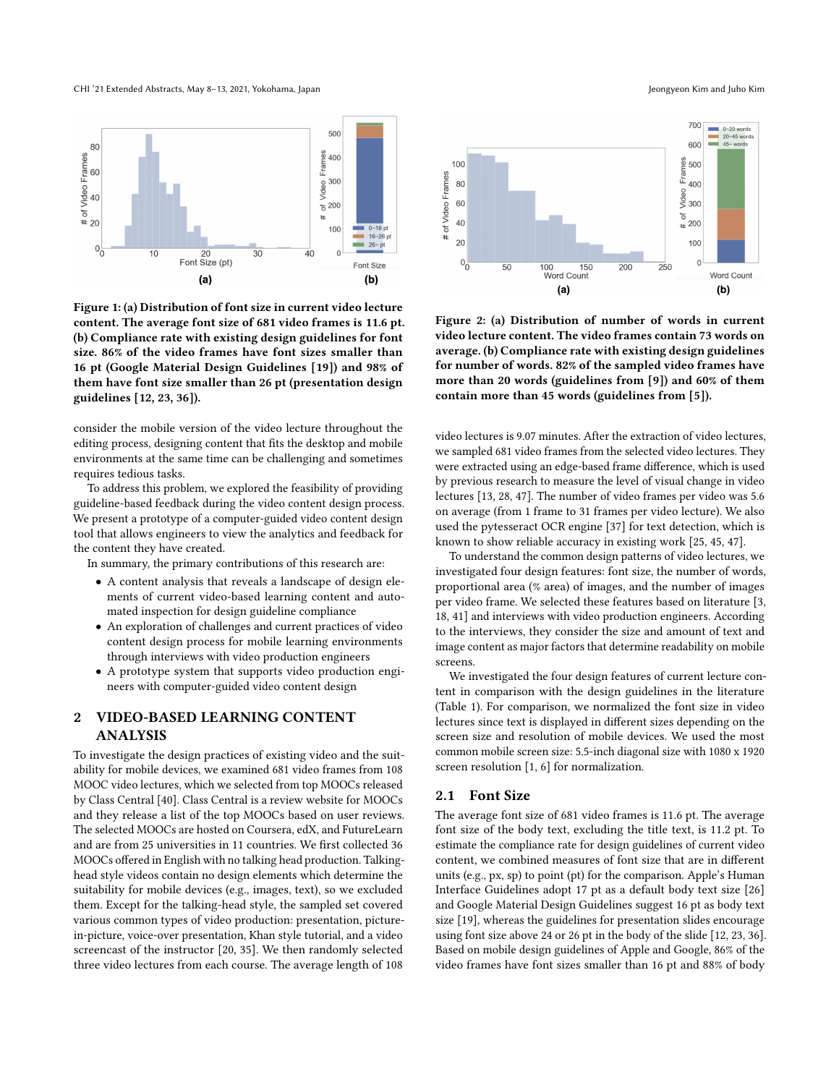CHI '21 Extended Abstracts, May 8–13, 2021, Yokohama, Japan Jeongyeon Kim and Juho Kim

<span id="page-1-0"></span>

Figure 1: (a) Distribution of font size in current video lecture content. The average font size of 681 video frames is 11.6 pt. (b) Compliance rate with existing design guidelines for font size. 86% of the video frames have font sizes smaller than 16 pt (Google Material Design Guidelines [\[19\]](#page-4-8)) and 98% of them have font size smaller than 26 pt (presentation design guidelines [\[12,](#page-4-9) [23,](#page-4-10) [36\]](#page-5-10)).

consider the mobile version of the video lecture throughout the editing process, designing content that fits the desktop and mobile environments at the same time can be challenging and sometimes requires tedious tasks.

To address this problem, we explored the feasibility of providing guideline-based feedback during the video content design process. We present a prototype of a computer-guided video content design tool that allows engineers to view the analytics and feedback for the content they have created.

In summary, the primary contributions of this research are:

- A content analysis that reveals a landscape of design elements of current video-based learning content and automated inspection for design guideline compliance
- An exploration of challenges and current practices of video content design process for mobile learning environments through interviews with video production engineers
- A prototype system that supports video production engineers with computer-guided video content design

# 2 VIDEO-BASED LEARNING CONTENT ANALYSIS

To investigate the design practices of existing video and the suitability for mobile devices, we examined 681 video frames from 108 MOOC video lectures, which we selected from top MOOCs released by Class Central [\[40\]](#page-5-8). Class Central is a review website for MOOCs and they release a list of the top MOOCs based on user reviews. The selected MOOCs are hosted on Coursera, edX, and FutureLearn and are from 25 universities in 11 countries. We first collected 36 MOOCs offered in English with no talking head production. Talkinghead style videos contain no design elements which determine the suitability for mobile devices (e.g., images, text), so we excluded them. Except for the talking-head style, the sampled set covered various common types of video production: presentation, picturein-picture, voice-over presentation, Khan style tutorial, and a video screencast of the instructor [\[20,](#page-4-11) [35\]](#page-5-11). We then randomly selected three video lectures from each course. The average length of 108

<span id="page-1-1"></span>

Figure 2: (a) Distribution of number of words in current video lecture content. The video frames contain 73 words on average. (b) Compliance rate with existing design guidelines for number of words. 82% of the sampled video frames have more than 20 words (guidelines from [\[9\]](#page-4-12)) and 60% of them contain more than 45 words (guidelines from [\[5\]](#page-4-13)).

video lectures is 9.07 minutes. After the extraction of video lectures, we sampled 681 video frames from the selected video lectures. They were extracted using an edge-based frame difference, which is used by previous research to measure the level of visual change in video lectures [\[13,](#page-4-14) [28,](#page-5-12) [47\]](#page-5-13). The number of video frames per video was 5.6 on average (from 1 frame to 31 frames per video lecture). We also used the pytesseract OCR engine [\[37\]](#page-5-14) for text detection, which is known to show reliable accuracy in existing work [\[25,](#page-4-15) [45,](#page-5-15) [47\]](#page-5-13).

To understand the common design patterns of video lectures, we investigated four design features: font size, the number of words, proportional area (% area) of images, and the number of images per video frame. We selected these features based on literature [\[3,](#page-4-16) [18,](#page-4-17) [41\]](#page-5-16) and interviews with video production engineers. According to the interviews, they consider the size and amount of text and image content as major factors that determine readability on mobile screens.

We investigated the four design features of current lecture content in comparison with the design guidelines in the literature (Table [1\)](#page-2-0). For comparison, we normalized the font size in video lectures since text is displayed in different sizes depending on the screen size and resolution of mobile devices. We used the most common mobile screen size: 5.5-inch diagonal size with 1080 x 1920 screen resolution [\[1,](#page-4-18) [6\]](#page-4-19) for normalization.

#### 2.1 Font Size

The average font size of 681 video frames is 11.6 pt. The average font size of the body text, excluding the title text, is 11.2 pt. To estimate the compliance rate for design guidelines of current video content, we combined measures of font size that are in different units (e.g., px, sp) to point (pt) for the comparison. Apple's Human Interface Guidelines adopt 17 pt as a default body text size [\[26\]](#page-4-20) and Google Material Design Guidelines suggest 16 pt as body text size [\[19\]](#page-4-8), whereas the guidelines for presentation slides encourage using font size above 24 or 26 pt in the body of the slide [\[12,](#page-4-9) [23,](#page-4-10) [36\]](#page-5-10). Based on mobile design guidelines of Apple and Google, 86% of the video frames have font sizes smaller than 16 pt and 88% of body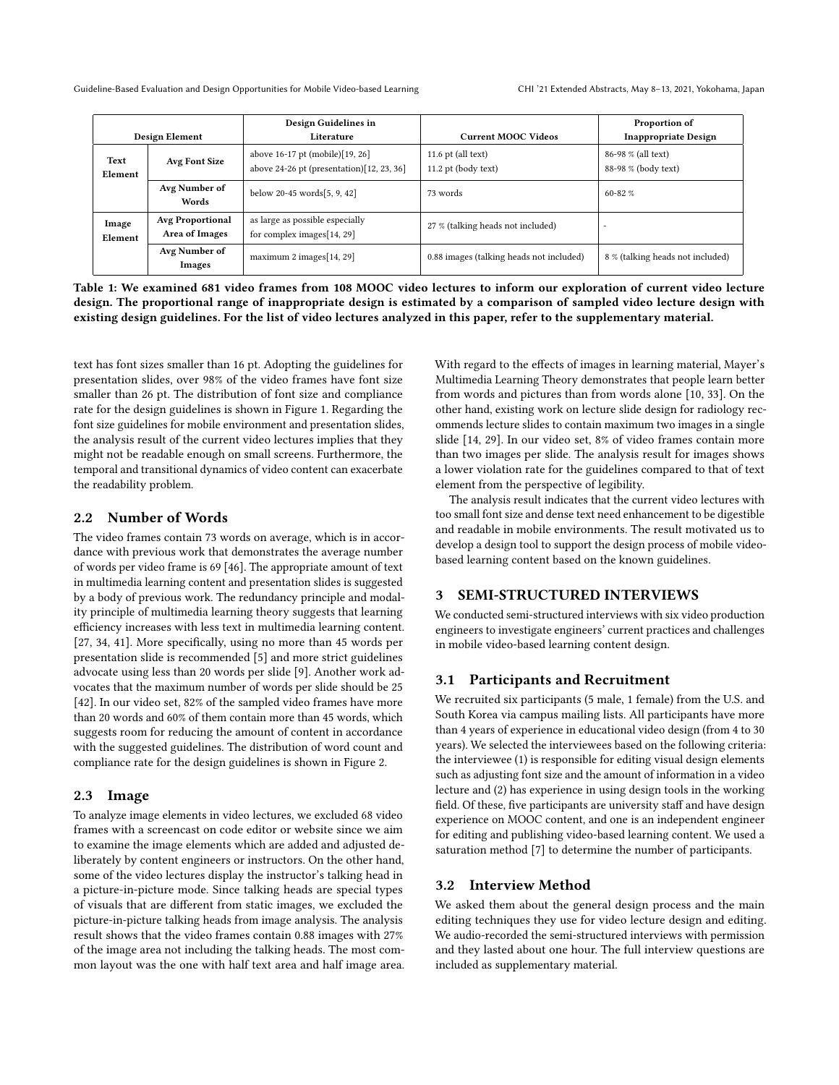<span id="page-2-0"></span>

|                       |                                           | Design Guidelines in                                                            |                                           | Proportion of                             |
|-----------------------|-------------------------------------------|---------------------------------------------------------------------------------|-------------------------------------------|-------------------------------------------|
| <b>Design Element</b> |                                           | Literature                                                                      | <b>Current MOOC Videos</b>                | <b>Inappropriate Design</b>               |
| Text<br>Element       | Avg Font Size                             | above 16-17 pt (mobile)[19, 26]<br>above 24-26 pt (presentation) $[12, 23, 36]$ | 11.6 pt (all text)<br>11.2 pt (body text) | 86-98 % (all text)<br>88-98 % (body text) |
|                       | Avg Number of<br>Words                    | below 20-45 words[5, 9, 42]                                                     | 73 words                                  | $60 - 82 \%$                              |
| Image<br>Element      | <b>Avg Proportional</b><br>Area of Images | as large as possible especially<br>for complex images[14, 29]                   | 27 % (talking heads not included)         |                                           |
|                       | Avg Number of<br>Images                   | maximum 2 images [14, 29]                                                       | 0.88 images (talking heads not included)  | 8 % (talking heads not included)          |

Table 1: We examined 681 video frames from 108 MOOC video lectures to inform our exploration of current video lecture design. The proportional range of inappropriate design is estimated by a comparison of sampled video lecture design with existing design guidelines. For the list of video lectures analyzed in this paper, refer to the supplementary material.

text has font sizes smaller than 16 pt. Adopting the guidelines for presentation slides, over 98% of the video frames have font size smaller than 26 pt. The distribution of font size and compliance rate for the design guidelines is shown in Figure [1.](#page-1-0) Regarding the font size guidelines for mobile environment and presentation slides, the analysis result of the current video lectures implies that they might not be readable enough on small screens. Furthermore, the temporal and transitional dynamics of video content can exacerbate the readability problem.

#### 2.2 Number of Words

The video frames contain 73 words on average, which is in accordance with previous work that demonstrates the average number of words per video frame is 69 [\[46\]](#page-5-19). The appropriate amount of text in multimedia learning content and presentation slides is suggested by a body of previous work. The redundancy principle and modality principle of multimedia learning theory suggests that learning efficiency increases with less text in multimedia learning content. [\[27,](#page-4-22) [34,](#page-5-20) [41\]](#page-5-16). More specifically, using no more than 45 words per presentation slide is recommended [\[5\]](#page-4-13) and more strict guidelines advocate using less than 20 words per slide [\[9\]](#page-4-12). Another work advocates that the maximum number of words per slide should be 25 [\[42\]](#page-5-17). In our video set, 82% of the sampled video frames have more than 20 words and 60% of them contain more than 45 words, which suggests room for reducing the amount of content in accordance with the suggested guidelines. The distribution of word count and compliance rate for the design guidelines is shown in Figure [2.](#page-1-1)

#### 2.3 Image

To analyze image elements in video lectures, we excluded 68 video frames with a screencast on code editor or website since we aim to examine the image elements which are added and adjusted deliberately by content engineers or instructors. On the other hand, some of the video lectures display the instructor's talking head in a picture-in-picture mode. Since talking heads are special types of visuals that are different from static images, we excluded the picture-in-picture talking heads from image analysis. The analysis result shows that the video frames contain 0.88 images with 27% of the image area not including the talking heads. The most common layout was the one with half text area and half image area. With regard to the effects of images in learning material, Mayer's Multimedia Learning Theory demonstrates that people learn better from words and pictures than from words alone [\[10,](#page-4-23) [33\]](#page-5-21). On the other hand, existing work on lecture slide design for radiology recommends lecture slides to contain maximum two images in a single slide [\[14,](#page-4-21) [29\]](#page-5-18). In our video set, 8% of video frames contain more than two images per slide. The analysis result for images shows a lower violation rate for the guidelines compared to that of text element from the perspective of legibility.

The analysis result indicates that the current video lectures with too small font size and dense text need enhancement to be digestible and readable in mobile environments. The result motivated us to develop a design tool to support the design process of mobile videobased learning content based on the known guidelines.

# 3 SEMI-STRUCTURED INTERVIEWS

We conducted semi-structured interviews with six video production engineers to investigate engineers' current practices and challenges in mobile video-based learning content design.

#### 3.1 Participants and Recruitment

We recruited six participants (5 male, 1 female) from the U.S. and South Korea via campus mailing lists. All participants have more than 4 years of experience in educational video design (from 4 to 30 years). We selected the interviewees based on the following criteria: the interviewee (1) is responsible for editing visual design elements such as adjusting font size and the amount of information in a video lecture and (2) has experience in using design tools in the working field. Of these, five participants are university staff and have design experience on MOOC content, and one is an independent engineer for editing and publishing video-based learning content. We used a saturation method [\[7\]](#page-4-24) to determine the number of participants.

#### 3.2 Interview Method

We asked them about the general design process and the main editing techniques they use for video lecture design and editing. We audio-recorded the semi-structured interviews with permission and they lasted about one hour. The full interview questions are included as supplementary material.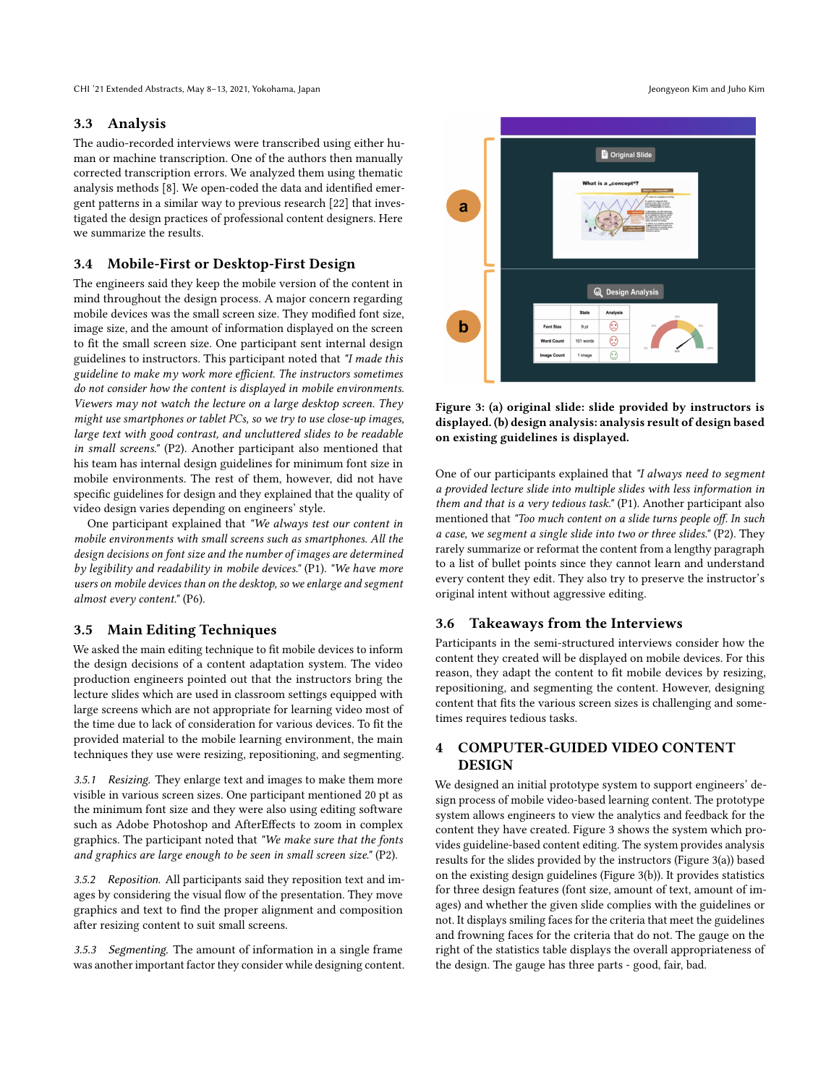CHI '21 Extended Abstracts, May 8–13, 2021, Yokohama, Japan Jeongyeon Kim and Juho Kim

#### 3.3 Analysis

The audio-recorded interviews were transcribed using either human or machine transcription. One of the authors then manually corrected transcription errors. We analyzed them using thematic analysis methods [\[8\]](#page-4-25). We open-coded the data and identified emergent patterns in a similar way to previous research [\[22\]](#page-4-26) that investigated the design practices of professional content designers. Here we summarize the results.

### 3.4 Mobile-First or Desktop-First Design

The engineers said they keep the mobile version of the content in mind throughout the design process. A major concern regarding mobile devices was the small screen size. They modified font size, image size, and the amount of information displayed on the screen to fit the small screen size. One participant sent internal design guidelines to instructors. This participant noted that "I made this guideline to make my work more efficient. The instructors sometimes do not consider how the content is displayed in mobile environments. Viewers may not watch the lecture on a large desktop screen. They might use smartphones or tablet PCs, so we try to use close-up images, large text with good contrast, and uncluttered slides to be readable in small screens." (P2). Another participant also mentioned that his team has internal design guidelines for minimum font size in mobile environments. The rest of them, however, did not have specific guidelines for design and they explained that the quality of video design varies depending on engineers' style.

One participant explained that "We always test our content in mobile environments with small screens such as smartphones. All the design decisions on font size and the number of images are determined by legibility and readability in mobile devices." (P1). "We have more users on mobile devices than on the desktop, so we enlarge and segment almost every content." (P6).

#### 3.5 Main Editing Techniques

We asked the main editing technique to fit mobile devices to inform the design decisions of a content adaptation system. The video production engineers pointed out that the instructors bring the lecture slides which are used in classroom settings equipped with large screens which are not appropriate for learning video most of the time due to lack of consideration for various devices. To fit the provided material to the mobile learning environment, the main techniques they use were resizing, repositioning, and segmenting.

3.5.1 Resizing. They enlarge text and images to make them more visible in various screen sizes. One participant mentioned 20 pt as the minimum font size and they were also using editing software such as Adobe Photoshop and AfterEffects to zoom in complex graphics. The participant noted that "We make sure that the fonts and graphics are large enough to be seen in small screen size." (P2).

3.5.2 Reposition. All participants said they reposition text and images by considering the visual flow of the presentation. They move graphics and text to find the proper alignment and composition after resizing content to suit small screens.

3.5.3 Segmenting. The amount of information in a single frame was another important factor they consider while designing content.

<span id="page-3-0"></span>

Figure 3: (a) original slide: slide provided by instructors is displayed. (b) design analysis: analysis result of design based on existing guidelines is displayed.

One of our participants explained that "I always need to segment a provided lecture slide into multiple slides with less information in them and that is a very tedious task." (P1). Another participant also mentioned that "Too much content on a slide turns people off. In such a case, we segment a single slide into two or three slides." (P2). They rarely summarize or reformat the content from a lengthy paragraph to a list of bullet points since they cannot learn and understand every content they edit. They also try to preserve the instructor's original intent without aggressive editing.

#### 3.6 Takeaways from the Interviews

Participants in the semi-structured interviews consider how the content they created will be displayed on mobile devices. For this reason, they adapt the content to fit mobile devices by resizing, repositioning, and segmenting the content. However, designing content that fits the various screen sizes is challenging and sometimes requires tedious tasks.

# 4 COMPUTER-GUIDED VIDEO CONTENT DESIGN

We designed an initial prototype system to support engineers' design process of mobile video-based learning content. The prototype system allows engineers to view the analytics and feedback for the content they have created. Figure [3](#page-3-0) shows the system which provides guideline-based content editing. The system provides analysis results for the slides provided by the instructors (Figure [3\(](#page-3-0)a)) based on the existing design guidelines (Figure [3\(](#page-3-0)b)). It provides statistics for three design features (font size, amount of text, amount of images) and whether the given slide complies with the guidelines or not. It displays smiling faces for the criteria that meet the guidelines and frowning faces for the criteria that do not. The gauge on the right of the statistics table displays the overall appropriateness of the design. The gauge has three parts - good, fair, bad.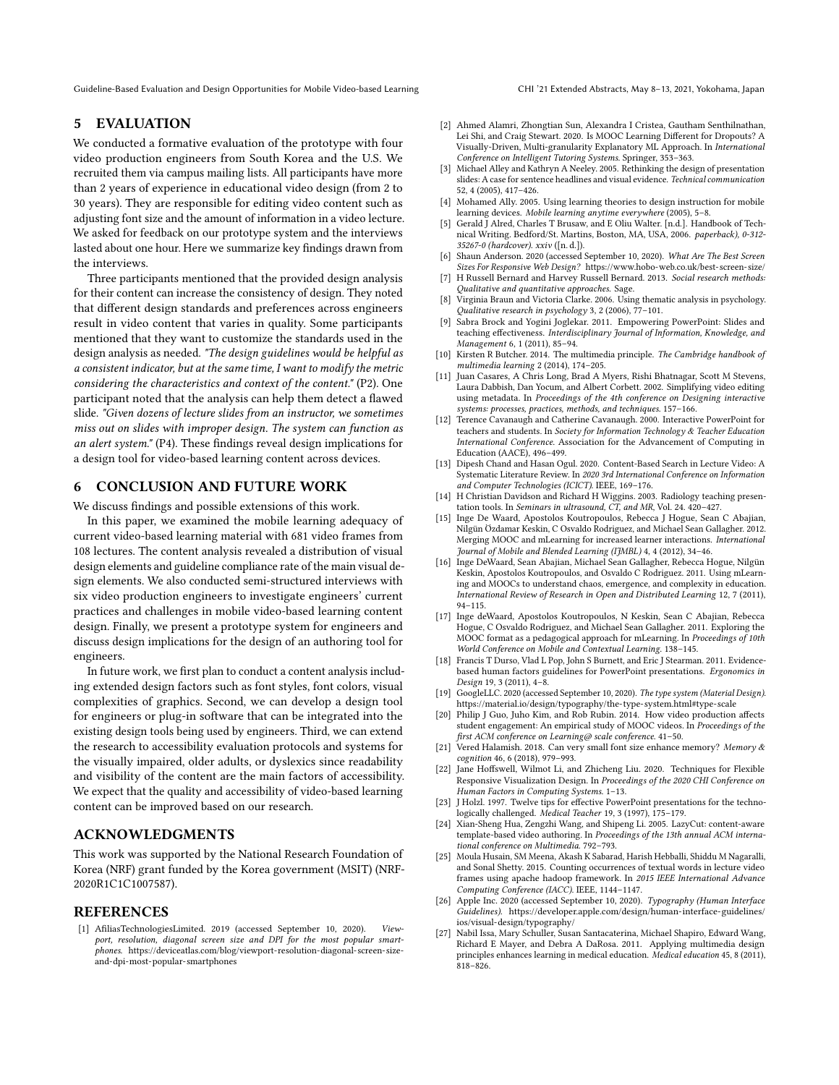Guideline-Based Evaluation and Design Opportunities for Mobile Video-based Learning CHI '21 Extended Abstracts, May 8-13, 2021, Yokohama, Japan

#### 5 EVALUATION

We conducted a formative evaluation of the prototype with four video production engineers from South Korea and the U.S. We recruited them via campus mailing lists. All participants have more than 2 years of experience in educational video design (from 2 to 30 years). They are responsible for editing video content such as adjusting font size and the amount of information in a video lecture. We asked for feedback on our prototype system and the interviews lasted about one hour. Here we summarize key findings drawn from the interviews.

Three participants mentioned that the provided design analysis for their content can increase the consistency of design. They noted that different design standards and preferences across engineers result in video content that varies in quality. Some participants mentioned that they want to customize the standards used in the design analysis as needed. "The design guidelines would be helpful as a consistent indicator, but at the same time, I want to modify the metric considering the characteristics and context of the content." (P2). One participant noted that the analysis can help them detect a flawed slide. "Given dozens of lecture slides from an instructor, we sometimes miss out on slides with improper design. The system can function as an alert system." (P4). These findings reveal design implications for a design tool for video-based learning content across devices.

#### 6 CONCLUSION AND FUTURE WORK

We discuss findings and possible extensions of this work.

In this paper, we examined the mobile learning adequacy of current video-based learning material with 681 video frames from 108 lectures. The content analysis revealed a distribution of visual design elements and guideline compliance rate of the main visual design elements. We also conducted semi-structured interviews with six video production engineers to investigate engineers' current practices and challenges in mobile video-based learning content design. Finally, we present a prototype system for engineers and discuss design implications for the design of an authoring tool for engineers.

In future work, we first plan to conduct a content analysis including extended design factors such as font styles, font colors, visual complexities of graphics. Second, we can develop a design tool for engineers or plug-in software that can be integrated into the existing design tools being used by engineers. Third, we can extend the research to accessibility evaluation protocols and systems for the visually impaired, older adults, or dyslexics since readability and visibility of the content are the main factors of accessibility. We expect that the quality and accessibility of video-based learning content can be improved based on our research.

#### ACKNOWLEDGMENTS

This work was supported by the National Research Foundation of Korea (NRF) grant funded by the Korea government (MSIT) (NRF-2020R1C1C1007587).

#### REFERENCES

<span id="page-4-18"></span>[1] AfiliasTechnologiesLimited. 2019 (accessed September 10, 2020). Viewport, resolution, diagonal screen size and DPI for the most popular smartphones. [https://deviceatlas.com/blog/viewport-resolution-diagonal-screen-size](https://deviceatlas.com/blog/viewport-resolution-diagonal-screen-size-and-dpi-most-popular-smartphones)[and-dpi-most-popular-smartphones](https://deviceatlas.com/blog/viewport-resolution-diagonal-screen-size-and-dpi-most-popular-smartphones)

- <span id="page-4-1"></span>[2] Ahmed Alamri, Zhongtian Sun, Alexandra I Cristea, Gautham Senthilnathan, Lei Shi, and Craig Stewart. 2020. Is MOOC Learning Different for Dropouts? A Visually-Driven, Multi-granularity Explanatory ML Approach. In International Conference on Intelligent Tutoring Systems. Springer, 353–363.
- <span id="page-4-16"></span>[3] Michael Alley and Kathryn A Neeley. 2005. Rethinking the design of presentation slides: A case for sentence headlines and visual evidence. Technical communication 52, 4 (2005), 417–426.
- <span id="page-4-5"></span>[4] Mohamed Ally. 2005. Using learning theories to design instruction for mobile learning devices. Mobile learning anytime everywhere (2005), 5–8.
- <span id="page-4-13"></span>[5] Gerald J Alred, Charles T Brusaw, and E Oliu Walter. [n.d.]. Handbook of Technical Writing. Bedford/St. Martins, Boston, MA, USA, 2006. paperback), 0-312- 35267-0 (hardcover). xxiv ([n. d.]).
- <span id="page-4-19"></span>Shaun Anderson. 2020 (accessed September 10, 2020). What Are The Best Screen Sizes For Responsive Web Design? <https://www.hobo-web.co.uk/best-screen-size/>
- <span id="page-4-24"></span>[7] H Russell Bernard and Harvey Russell Bernard. 2013. Social research methods: Qualitative and quantitative approaches. Sage.
- <span id="page-4-25"></span>Virginia Braun and Victoria Clarke. 2006. Using thematic analysis in psychology. Qualitative research in psychology 3, 2 (2006), 77–101.
- <span id="page-4-12"></span>[9] Sabra Brock and Yogini Joglekar. 2011. Empowering PowerPoint: Slides and teaching effectiveness. Interdisciplinary Journal of Information, Knowledge, and Management 6, 1 (2011), 85–94.
- <span id="page-4-23"></span>[10] Kirsten R Butcher. 2014. The multimedia principle. The Cambridge handbook of multimedia learning 2 (2014), 174–205.
- <span id="page-4-6"></span>[11] Juan Casares, A Chris Long, Brad A Myers, Rishi Bhatnagar, Scott M Stevens, Laura Dabbish, Dan Yocum, and Albert Corbett. 2002. Simplifying video editing using metadata. In Proceedings of the 4th conference on Designing interactive systems: processes, practices, methods, and techniques. 157–166.
- <span id="page-4-9"></span>[12] Terence Cavanaugh and Catherine Cavanaugh. 2000. Interactive PowerPoint for teachers and students. In Society for Information Technology & Teacher Education International Conference. Association for the Advancement of Computing in Education (AACE), 496–499.
- <span id="page-4-14"></span>[13] Dipesh Chand and Hasan Ogul. 2020. Content-Based Search in Lecture Video: A Systematic Literature Review. In 2020 3rd International Conference on Information and Computer Technologies (ICICT). IEEE, 169–176.
- <span id="page-4-21"></span>[14] H Christian Davidson and Richard H Wiggins. 2003. Radiology teaching presentation tools. In Seminars in ultrasound, CT, and MR, Vol. 24. 420–427.
- <span id="page-4-2"></span>[15] Inge De Waard, Apostolos Koutropoulos, Rebecca J Hogue, Sean C Abajian, Nilgün Özdamar Keskin, C Osvaldo Rodriguez, and Michael Sean Gallagher. 2012. Merging MOOC and mLearning for increased learner interactions. International Journal of Mobile and Blended Learning (IJMBL) 4, 4 (2012), 34–46.
- <span id="page-4-0"></span>[16] Inge DeWaard, Sean Abajian, Michael Sean Gallagher, Rebecca Hogue, Nilgün Keskin, Apostolos Koutropoulos, and Osvaldo C Rodriguez. 2011. Using mLearning and MOOCs to understand chaos, emergence, and complexity in education. International Review of Research in Open and Distributed Learning 12, 7 (2011), 94–115.
- <span id="page-4-3"></span>[17] Inge deWaard, Apostolos Koutropoulos, N Keskin, Sean C Abajian, Rebecca Hogue, C Osvaldo Rodriguez, and Michael Sean Gallagher. 2011. Exploring the MOOC format as a pedagogical approach for mLearning. In Proceedings of 10th World Conference on Mobile and Contextual Learning. 138–145.
- <span id="page-4-17"></span>[18] Francis T Durso, Vlad L Pop, John S Burnett, and Eric J Stearman. 2011. Evidencebased human factors guidelines for PowerPoint presentations. Ergonomics in Design 19, 3 (2011), 4–8.
- <span id="page-4-8"></span>[19] GoogleLLC. 2020 (accessed September 10, 2020). The type system (Material Design). <https://material.io/design/typography/the-type-system.html#type-scale>
- <span id="page-4-11"></span>[20] Philip J Guo, Juho Kim, and Rob Rubin. 2014. How video production affects student engagement: An empirical study of MOOC videos. In Proceedings of the first ACM conference on Learning@ scale conference. 41–50.
- <span id="page-4-4"></span>[21] Vered Halamish. 2018. Can very small font size enhance memory? Memory & cognition 46, 6 (2018), 979–993.
- <span id="page-4-26"></span>[22] Jane Hoffswell, Wilmot Li, and Zhicheng Liu. 2020. Techniques for Flexible Responsive Visualization Design. In Proceedings of the 2020 CHI Conference on Human Factors in Computing Systems. 1–13.
- <span id="page-4-10"></span>[23] J Holzl. 1997. Twelve tips for effective PowerPoint presentations for the technologically challenged. Medical Teacher 19, 3 (1997), 175–179.
- <span id="page-4-7"></span>[24] Xian-Sheng Hua, Zengzhi Wang, and Shipeng Li. 2005. LazyCut: content-aware template-based video authoring. In Proceedings of the 13th annual ACM international conference on Multimedia. 792–793.
- <span id="page-4-15"></span>[25] Moula Husain, SM Meena, Akash K Sabarad, Harish Hebballi, Shiddu M Nagaralli, and Sonal Shetty. 2015. Counting occurrences of textual words in lecture video frames using apache hadoop framework. In 2015 IEEE International Advance Computing Conference (IACC). IEEE, 1144–1147.
- <span id="page-4-20"></span>[26] Apple Inc. 2020 (accessed September 10, 2020). Typography (Human Interface Guidelines). [https://developer.apple.com/design/human-interface-guidelines/](https://developer.apple.com/design/human-interface-guidelines/ios/visual-design/typography/) [ios/visual-design/typography/](https://developer.apple.com/design/human-interface-guidelines/ios/visual-design/typography/)
- <span id="page-4-22"></span>[27] Nabil Issa, Mary Schuller, Susan Santacaterina, Michael Shapiro, Edward Wang, Richard E Mayer, and Debra A DaRosa. 2011. Applying multimedia design principles enhances learning in medical education. Medical education 45, 8 (2011), 818–826.